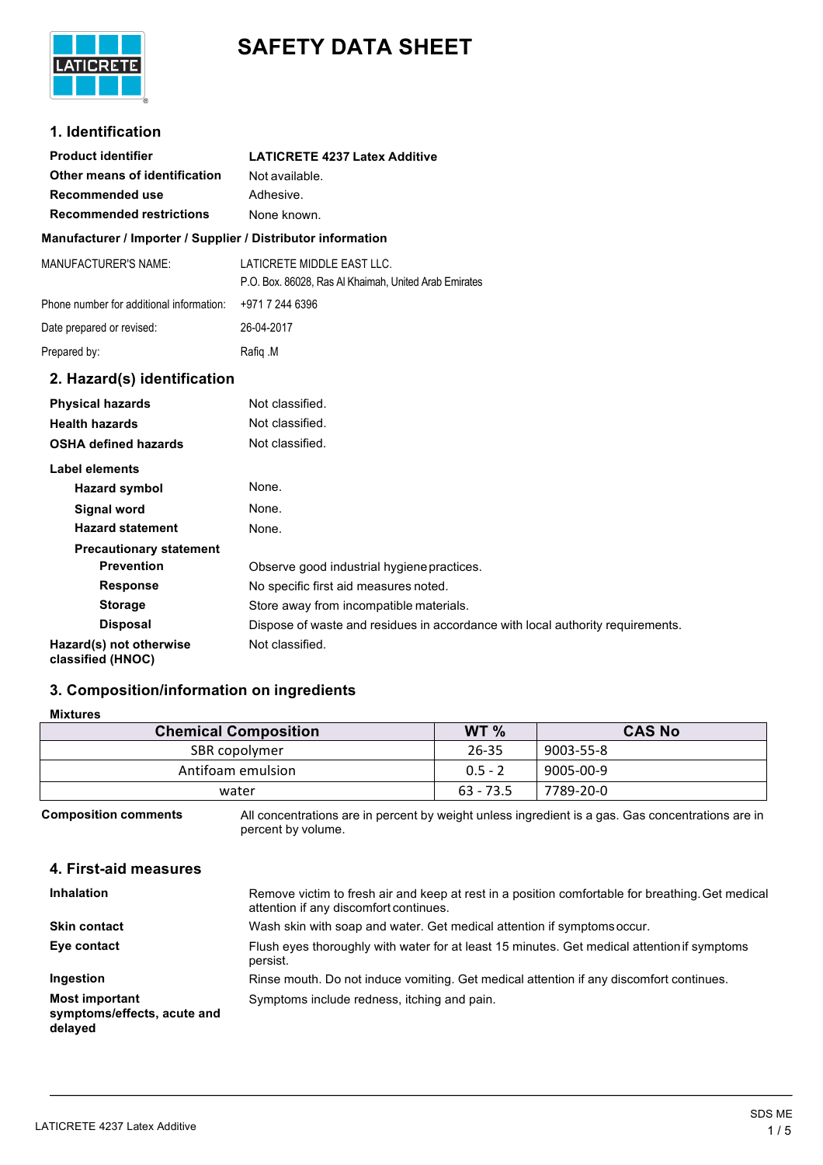# **SAFETY DATA SHEET**



# **1. Identification**

| <b>Product identifier</b>                                    | <b>LATICRETE 4237 Latex Additive</b>                                                |
|--------------------------------------------------------------|-------------------------------------------------------------------------------------|
| Other means of identification                                | Not available.                                                                      |
| <b>Recommended use</b>                                       | Adhesive.                                                                           |
| <b>Recommended restrictions</b>                              | None known.                                                                         |
| Manufacturer / Importer / Supplier / Distributor information |                                                                                     |
| <b>MANUFACTURER'S NAME:</b>                                  | LATICRETE MIDDLE EAST LLC.<br>P.O. Box. 86028, Ras Al Khaimah, United Arab Emirates |
| Phone number for additional information:                     | +971 7 244 6396                                                                     |
| Date prepared or revised:                                    | 26-04-2017                                                                          |
| Prepared by:                                                 | Rafiq M                                                                             |
| 2. Hazard(s) identification                                  |                                                                                     |
| <b>Physical hazards</b>                                      | Not classified.                                                                     |
| <b>Health hazards</b>                                        | Not classified.                                                                     |
| <b>OSHA defined hazards</b>                                  | Not classified.                                                                     |
| <b>Label elements</b>                                        |                                                                                     |
| <b>Hazard symbol</b>                                         | None.                                                                               |
| <b>Signal word</b>                                           | None.                                                                               |
| <b>Hazard statement</b>                                      | None.                                                                               |
| <b>Precautionary statement</b>                               |                                                                                     |
| <b>Prevention</b>                                            | Observe good industrial hygiene practices.                                          |
| <b>Response</b>                                              | No specific first aid measures noted.                                               |
| <b>Storage</b>                                               | Store away from incompatible materials.                                             |
| <b>Disposal</b>                                              | Dispose of waste and residues in accordance with local authority requirements.      |
| Hazard(s) not otherwise                                      | Not classified.                                                                     |

**Hazard(s) not otherwise classified (HNOC)**

# **3. Composition/information on ingredients**

# **Mixtures**

| <b>Chemical Composition</b> | WT %        | <b>CAS No</b> |
|-----------------------------|-------------|---------------|
| SBR copolymer               | 26-35       | 9003-55-8     |
| Antifoam emulsion           | $0.5 - 2$   | 9005-00-9     |
| water                       | $63 - 73.5$ | 7789-20-0     |

**Composition comments** All concentrations are in percent by weight unless ingredient is a gas. Gas concentrations are in percent by volume.

# **4. First-aid measures**

| <b>Inhalation</b>                                               | Remove victim to fresh air and keep at rest in a position comfortable for breathing. Get medical<br>attention if any discomfort continues. |
|-----------------------------------------------------------------|--------------------------------------------------------------------------------------------------------------------------------------------|
| <b>Skin contact</b>                                             | Wash skin with soap and water. Get medical attention if symptoms occur.                                                                    |
| Eye contact                                                     | Flush eyes thoroughly with water for at least 15 minutes. Get medical attention if symptoms<br>persist.                                    |
| Ingestion                                                       | Rinse mouth. Do not induce vomiting. Get medical attention if any discomfort continues.                                                    |
| <b>Most important</b><br>symptoms/effects, acute and<br>delayed | Symptoms include redness, itching and pain.                                                                                                |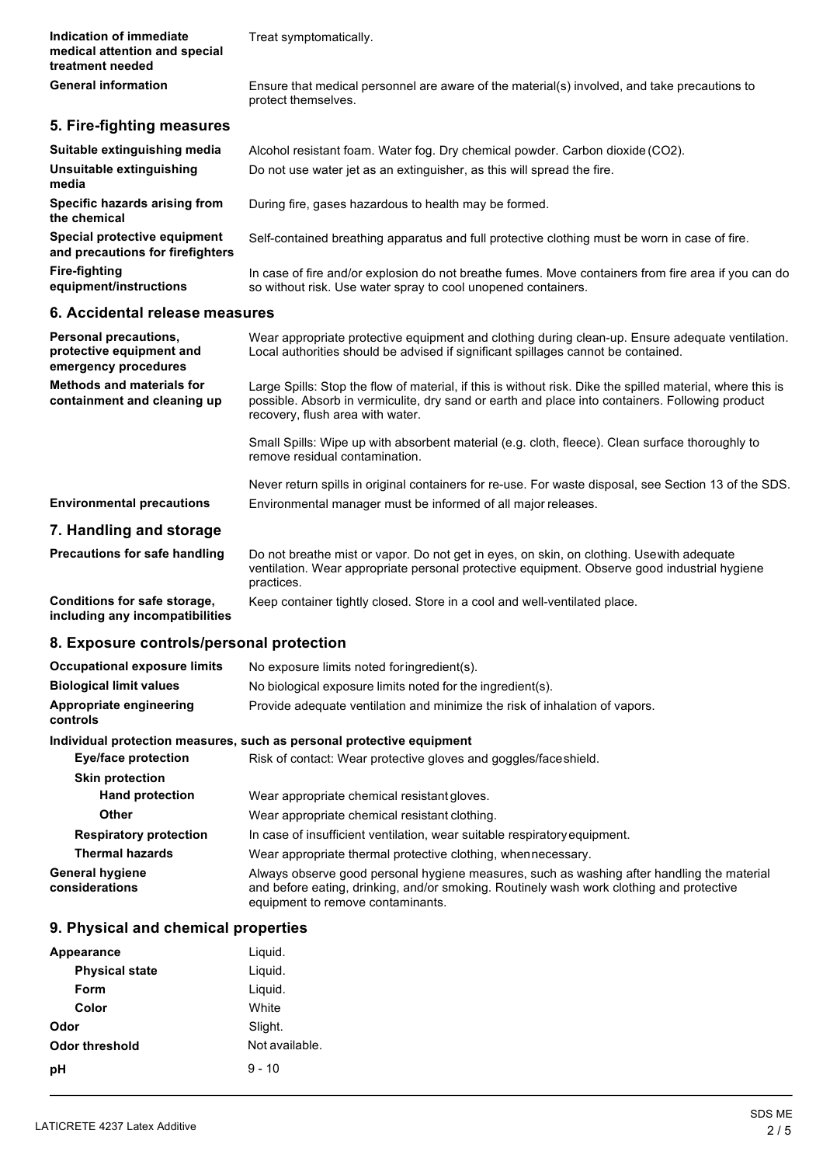| Indication of immediate<br>medical attention and special<br>treatment needed | Treat symptomatically.                                                                                                                                                                                                                            |  |
|------------------------------------------------------------------------------|---------------------------------------------------------------------------------------------------------------------------------------------------------------------------------------------------------------------------------------------------|--|
| <b>General information</b>                                                   | Ensure that medical personnel are aware of the material(s) involved, and take precautions to<br>protect themselves.                                                                                                                               |  |
| 5. Fire-fighting measures                                                    |                                                                                                                                                                                                                                                   |  |
|                                                                              |                                                                                                                                                                                                                                                   |  |
| Suitable extinguishing media<br>Unsuitable extinguishing<br>media            | Alcohol resistant foam. Water fog. Dry chemical powder. Carbon dioxide (CO2).<br>Do not use water jet as an extinguisher, as this will spread the fire.                                                                                           |  |
| Specific hazards arising from<br>the chemical                                | During fire, gases hazardous to health may be formed.                                                                                                                                                                                             |  |
| Special protective equipment<br>and precautions for firefighters             | Self-contained breathing apparatus and full protective clothing must be worn in case of fire.                                                                                                                                                     |  |
| <b>Fire-fighting</b><br>equipment/instructions                               | In case of fire and/or explosion do not breathe fumes. Move containers from fire area if you can do<br>so without risk. Use water spray to cool unopened containers.                                                                              |  |
| 6. Accidental release measures                                               |                                                                                                                                                                                                                                                   |  |
| Personal precautions,<br>protective equipment and<br>emergency procedures    | Wear appropriate protective equipment and clothing during clean-up. Ensure adequate ventilation.<br>Local authorities should be advised if significant spillages cannot be contained.                                                             |  |
| <b>Methods and materials for</b><br>containment and cleaning up              | Large Spills: Stop the flow of material, if this is without risk. Dike the spilled material, where this is<br>possible. Absorb in vermiculite, dry sand or earth and place into containers. Following product<br>recovery, flush area with water. |  |
|                                                                              | Small Spills: Wipe up with absorbent material (e.g. cloth, fleece). Clean surface thoroughly to<br>remove residual contamination.                                                                                                                 |  |
|                                                                              | Never return spills in original containers for re-use. For waste disposal, see Section 13 of the SDS.                                                                                                                                             |  |
| <b>Environmental precautions</b>                                             | Environmental manager must be informed of all major releases.                                                                                                                                                                                     |  |
| 7. Handling and storage                                                      |                                                                                                                                                                                                                                                   |  |
| <b>Precautions for safe handling</b>                                         | Do not breathe mist or vapor. Do not get in eyes, on skin, on clothing. Usewith adequate<br>ventilation. Wear appropriate personal protective equipment. Observe good industrial hygiene<br>practices.                                            |  |
| Conditions for safe storage,<br>including any incompatibilities              | Keep container tightly closed. Store in a cool and well-ventilated place.                                                                                                                                                                         |  |
| 8. Exposure controls/personal protection                                     |                                                                                                                                                                                                                                                   |  |
| <b>Occupational exposure limits</b>                                          | No exposure limits noted foringredient(s).                                                                                                                                                                                                        |  |
| <b>Biological limit values</b>                                               | No biological exposure limits noted for the ingredient(s).                                                                                                                                                                                        |  |
| Appropriate engineering<br>controls                                          | Provide adequate ventilation and minimize the risk of inhalation of vapors.                                                                                                                                                                       |  |
| Individual protection measures, such as personal protective equipment        |                                                                                                                                                                                                                                                   |  |
| <b>Eye/face protection</b>                                                   | Risk of contact: Wear protective gloves and goggles/face shield.                                                                                                                                                                                  |  |
| <b>Skin protection</b>                                                       |                                                                                                                                                                                                                                                   |  |
| <b>Hand protection</b>                                                       | Wear appropriate chemical resistant gloves.                                                                                                                                                                                                       |  |
| Other                                                                        | Wear appropriate chemical resistant clothing.                                                                                                                                                                                                     |  |
| <b>Respiratory protection</b>                                                | In case of insufficient ventilation, wear suitable respiratory equipment.                                                                                                                                                                         |  |
| <b>Thermal hazards</b>                                                       | Wear appropriate thermal protective clothing, when necessary.                                                                                                                                                                                     |  |
| <b>General hygiene</b><br>considerations                                     | Always observe good personal hygiene measures, such as washing after handling the material<br>and before eating, drinking, and/or smoking. Routinely wash work clothing and protective<br>equipment to remove contaminants.                       |  |
| 9. Physical and chemical properties                                          |                                                                                                                                                                                                                                                   |  |
| Appearance                                                                   | Liquid.                                                                                                                                                                                                                                           |  |
| <b>Physical state</b>                                                        | Liquid.                                                                                                                                                                                                                                           |  |

| <b>Appourance</b>     | Liyuiu.        |  |
|-----------------------|----------------|--|
| <b>Physical state</b> | Liquid.        |  |
| Form                  | Liquid.        |  |
| Color                 | White          |  |
| Odor                  | Slight.        |  |
| <b>Odor threshold</b> | Not available. |  |
| pH                    | $9 - 10$       |  |
|                       |                |  |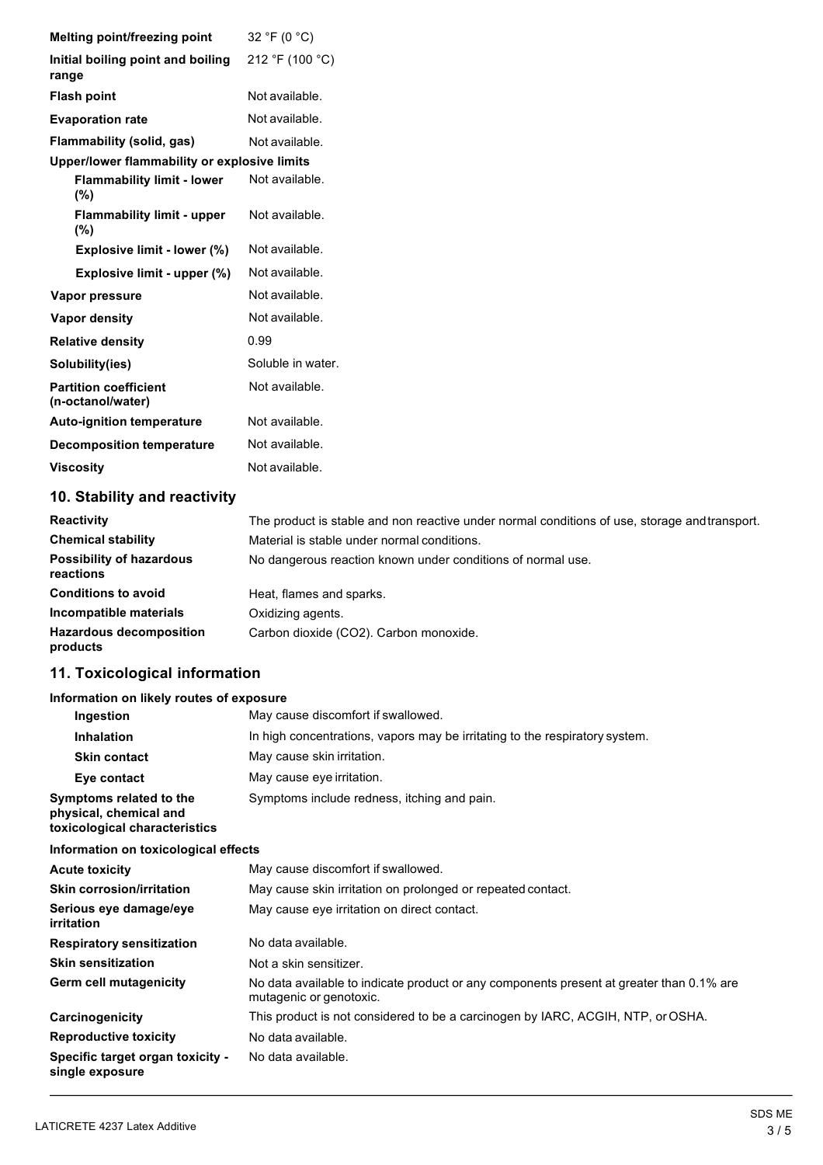| Melting point/freezing point                      | 32 °F (0 $^{\circ}$ C) |
|---------------------------------------------------|------------------------|
| Initial boiling point and boiling<br>range        | 212 °F (100 °C)        |
| <b>Flash point</b>                                | Not available.         |
| <b>Evaporation rate</b>                           | Not available.         |
| Flammability (solid, gas)                         | Not available.         |
| Upper/lower flammability or explosive limits      |                        |
| <b>Flammability limit - lower</b><br>(%)          | Not available.         |
| <b>Flammability limit - upper</b><br>$(\%)$       | Not available.         |
| Explosive limit - lower (%)                       | Not available.         |
| Explosive limit - upper (%)                       | Not available.         |
| Vapor pressure                                    | Not available.         |
| Vapor density                                     | Not available.         |
| <b>Relative density</b>                           | 0.99                   |
| Solubility(ies)                                   | Soluble in water.      |
| <b>Partition coefficient</b><br>(n-octanol/water) | Not available.         |
| <b>Auto-ignition temperature</b>                  | Not available.         |
| <b>Decomposition temperature</b>                  | Not available.         |
| <b>Viscosity</b>                                  | Not available.         |
|                                                   |                        |

# **10. Stability and reactivity**

| <b>Reactivity</b>                            | The product is stable and non reactive under normal conditions of use, storage and transport. |
|----------------------------------------------|-----------------------------------------------------------------------------------------------|
| <b>Chemical stability</b>                    | Material is stable under normal conditions.                                                   |
| <b>Possibility of hazardous</b><br>reactions | No dangerous reaction known under conditions of normal use.                                   |
| <b>Conditions to avoid</b>                   | Heat, flames and sparks.                                                                      |
| Incompatible materials                       | Oxidizing agents.                                                                             |
| <b>Hazardous decomposition</b><br>products   | Carbon dioxide (CO2). Carbon monoxide.                                                        |

# **11. Toxicological information**

# **Information on likely routes of exposure**

| Ingestion                                                                          | May cause discomfort if swallowed.                                          |
|------------------------------------------------------------------------------------|-----------------------------------------------------------------------------|
| <b>Inhalation</b>                                                                  | In high concentrations, vapors may be irritating to the respiratory system. |
| <b>Skin contact</b>                                                                | May cause skin irritation.                                                  |
| Eye contact                                                                        | May cause eye irritation.                                                   |
| Symptoms related to the<br>physical, chemical and<br>toxicological characteristics | Symptoms include redness, itching and pain.                                 |

## **Information on toxicological effects**

| <b>Acute toxicity</b>                               | May cause discomfort if swallowed.                                                                                  |
|-----------------------------------------------------|---------------------------------------------------------------------------------------------------------------------|
| <b>Skin corrosion/irritation</b>                    | May cause skin irritation on prolonged or repeated contact.                                                         |
| Serious eye damage/eye<br>irritation                | May cause eye irritation on direct contact.                                                                         |
| <b>Respiratory sensitization</b>                    | No data available.                                                                                                  |
| <b>Skin sensitization</b>                           | Not a skin sensitizer.                                                                                              |
| Germ cell mutagenicity                              | No data available to indicate product or any components present at greater than 0.1% are<br>mutagenic or genotoxic. |
| Carcinogenicity                                     | This product is not considered to be a carcinogen by IARC, ACGIH, NTP, or OSHA.                                     |
| <b>Reproductive toxicity</b>                        | No data available.                                                                                                  |
| Specific target organ toxicity -<br>single exposure | No data available.                                                                                                  |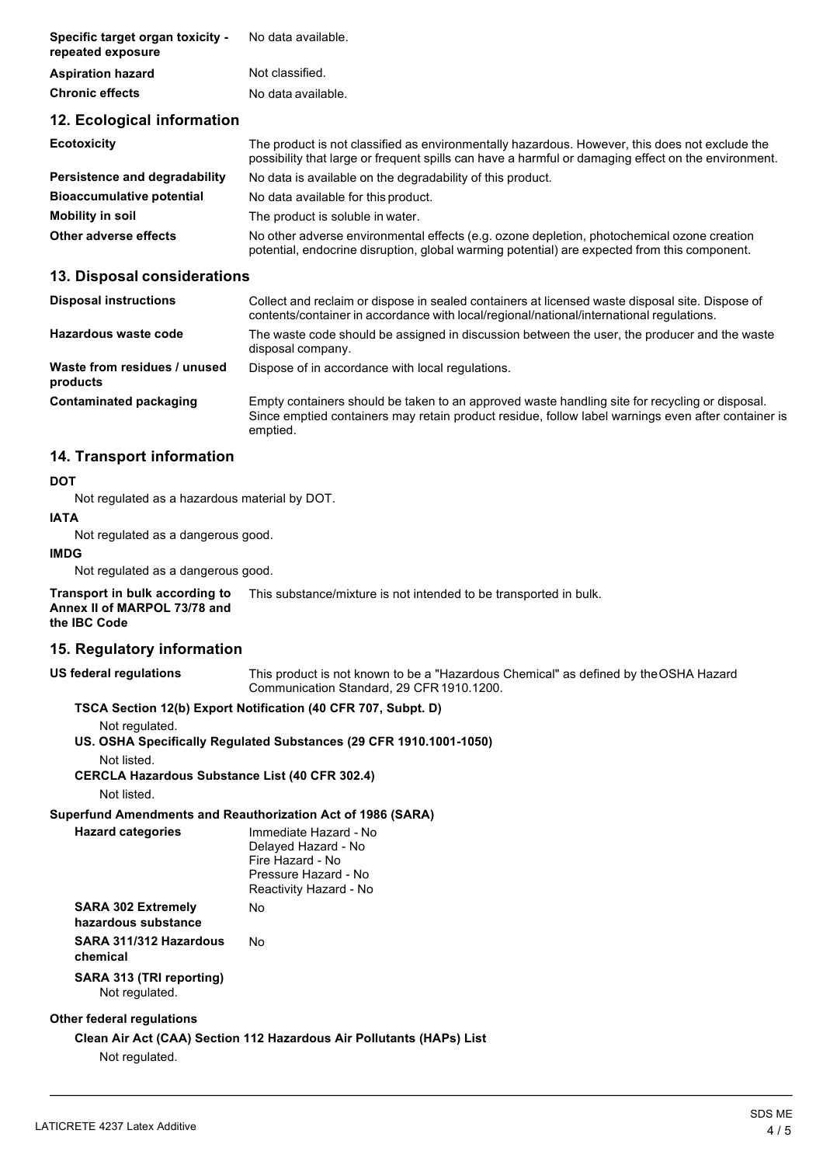| Specific target organ toxicity -<br>repeated exposure | No data available.                                                                                                                                                                                    |
|-------------------------------------------------------|-------------------------------------------------------------------------------------------------------------------------------------------------------------------------------------------------------|
| <b>Aspiration hazard</b>                              | Not classified.                                                                                                                                                                                       |
| <b>Chronic effects</b>                                | No data available.                                                                                                                                                                                    |
| 12. Ecological information                            |                                                                                                                                                                                                       |
| <b>Ecotoxicity</b>                                    | The product is not classified as environmentally hazardous. However, this does not exclude the<br>possibility that large or frequent spills can have a harmful or damaging effect on the environment. |
| Persistence and degradability                         | No data is available on the degradability of this product.                                                                                                                                            |
| <b>Bioaccumulative potential</b>                      | No data available for this product.                                                                                                                                                                   |
| <b>Mobility in soil</b>                               | The product is soluble in water.                                                                                                                                                                      |
| Other adverse effects                                 | No other adverse environmental effects (e.g. ozone depletion, photochemical ozone creation<br>potential, endocrine disruption, global warming potential) are expected from this component.            |

## **13. Disposal considerations**

| <b>Disposal instructions</b>             | Collect and reclaim or dispose in sealed containers at licensed waste disposal site. Dispose of<br>contents/container in accordance with local/regional/national/international regulations.                      |
|------------------------------------------|------------------------------------------------------------------------------------------------------------------------------------------------------------------------------------------------------------------|
| Hazardous waste code                     | The waste code should be assigned in discussion between the user, the producer and the waste<br>disposal company.                                                                                                |
| Waste from residues / unused<br>products | Dispose of in accordance with local regulations.                                                                                                                                                                 |
| Contaminated packaging                   | Empty containers should be taken to an approved waste handling site for recycling or disposal.<br>Since emptied containers may retain product residue, follow label warnings even after container is<br>emptied. |

# **14. Transport information**

#### **DOT**

Not regulated as a hazardous material by DOT.

#### **IATA**

Not regulated as a dangerous good.

#### **IMDG**

Not regulated as a dangerous good.

**Transport in bulk according to Annex II of MARPOL 73/78 and the IBC Code** This substance/mixture is not intended to be transported in bulk.

# **15. Regulatory information**

**US federal regulations** This product is not known to be a "Hazardous Chemical" as defined by theOSHA Hazard Communication Standard, 29 CFR1910.1200.

## **TSCA Section 12(b) Export Notification (40 CFR 707, Subpt. D)**

Not regulated.

**US. OSHA Specifically Regulated Substances (29 CFR 1910.1001-1050)**

Not listed.

**CERCLA Hazardous Substance List (40 CFR 302.4)**

Not listed.

**Hazard** categories

**Superfund Amendments and Reauthorization Act of 1986 (SARA)** 

| <b>Hazard categories</b>  | Immediate Hazard - No  |
|---------------------------|------------------------|
|                           | Delayed Hazard - No    |
|                           | Fire Hazard - No       |
|                           | Pressure Hazard - No   |
|                           | Reactivity Hazard - No |
| <b>SARA 302 Extremely</b> | N٥                     |
| hazardous substance       |                        |

## **SARA 311/312 Hazardous** No **chemical**

**SARA 313 (TRI reporting)** Not regulated.

## **Other federal regulations**

## **Clean Air Act (CAA) Section 112 Hazardous Air Pollutants (HAPs) List**

Not regulated.